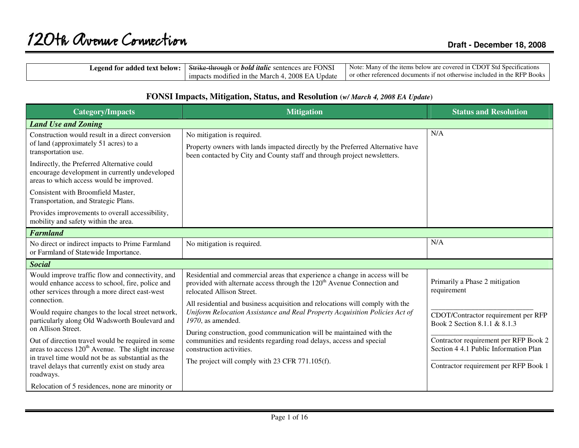| egend for<br>-text<br>added<br>. below | .<br><b>FONSI</b><br>Strike throu<br>. italic<br>-bold<br>$\gamma$ 11 $\alpha$ .<br>are<br>sentences | CDOT.<br>' Std-Spec<br>Note:<br>∍∨lanv<br>items<br>$\sim w$ are $\ldots$<br>l 1 n<br>covereo<br>heli                    |
|----------------------------------------|------------------------------------------------------------------------------------------------------|-------------------------------------------------------------------------------------------------------------------------|
|                                        | E<br>2008.<br>∪pdate<br>Marc'<br>1mpacts<br>odified in<br>a the<br>า⊿                                | $\frac{1}{2}$ in the RFP.<br>ত Books<br>$\alpha$ otherwise.<br>. referenced<br>$11 \text{ m}$<br>≅mdeo<br>a documents . |

| <b>Category/Impacts</b>                                                                                                                                                 | <b>Mitigation</b>                                                                                                                                                                                                                                        | <b>Status and Resolution</b>                                                   |
|-------------------------------------------------------------------------------------------------------------------------------------------------------------------------|----------------------------------------------------------------------------------------------------------------------------------------------------------------------------------------------------------------------------------------------------------|--------------------------------------------------------------------------------|
| <b>Land Use and Zoning</b>                                                                                                                                              |                                                                                                                                                                                                                                                          |                                                                                |
| Construction would result in a direct conversion<br>of land (approximately 51 acres) to a<br>transportation use.                                                        | No mitigation is required.<br>Property owners with lands impacted directly by the Preferred Alternative have<br>been contacted by City and County staff and through project newsletters.                                                                 | N/A                                                                            |
| Indirectly, the Preferred Alternative could<br>encourage development in currently undeveloped<br>areas to which access would be improved.                               |                                                                                                                                                                                                                                                          |                                                                                |
| Consistent with Broomfield Master,<br>Transportation, and Strategic Plans.                                                                                              |                                                                                                                                                                                                                                                          |                                                                                |
| Provides improvements to overall accessibility,<br>mobility and safety within the area.                                                                                 |                                                                                                                                                                                                                                                          |                                                                                |
| <b>Farmland</b>                                                                                                                                                         |                                                                                                                                                                                                                                                          |                                                                                |
| No direct or indirect impacts to Prime Farmland<br>or Farmland of Statewide Importance.                                                                                 | No mitigation is required.                                                                                                                                                                                                                               | N/A                                                                            |
| <b>Social</b>                                                                                                                                                           |                                                                                                                                                                                                                                                          |                                                                                |
| Would improve traffic flow and connectivity, and<br>would enhance access to school, fire, police and<br>other services through a more direct east-west<br>connection.   | Residential and commercial areas that experience a change in access will be<br>provided with alternate access through the 120 <sup>th</sup> Avenue Connection and<br>relocated Allison Street.                                                           | Primarily a Phase 2 mitigation<br>requirement                                  |
| Would require changes to the local street network,<br>particularly along Old Wadsworth Boulevard and<br>on Allison Street.                                              | All residential and business acquisition and relocations will comply with the<br>Uniform Relocation Assistance and Real Property Acquisition Policies Act of<br>1970, as amended.<br>During construction, good communication will be maintained with the | CDOT/Contractor requirement per RFP<br>Book 2 Section 8.1.1 & 8.1.3            |
| Out of direction travel would be required in some<br>areas to access 120 <sup>th</sup> Avenue. The slight increase<br>in travel time would not be as substantial as the | communities and residents regarding road delays, access and special<br>construction activities.                                                                                                                                                          | Contractor requirement per RFP Book 2<br>Section 4 4.1 Public Information Plan |
| travel delays that currently exist on study area<br>roadways.                                                                                                           | The project will comply with 23 CFR 771.105(f).                                                                                                                                                                                                          | Contractor requirement per RFP Book 1                                          |
| Relocation of 5 residences, none are minority or                                                                                                                        |                                                                                                                                                                                                                                                          |                                                                                |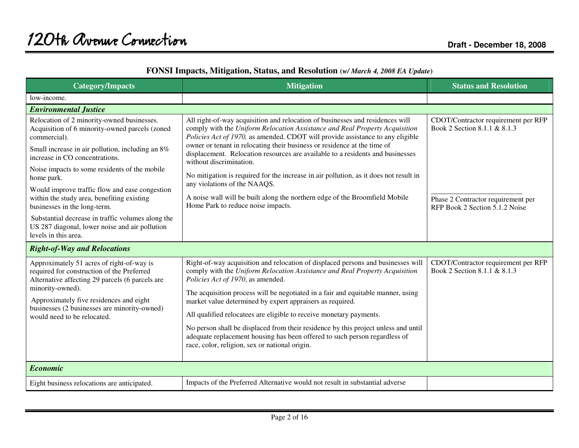| FONSI Impacts, Mitigation, Status, and Resolution (w/ March 4, 2008 EA Update) |  |  |  |
|--------------------------------------------------------------------------------|--|--|--|
|                                                                                |  |  |  |

| <b>Category/Impacts</b>                                                                                                                                                                                                                                                                                                                                                                                                                                                                                                          | <b>Mitigation</b>                                                                                                                                                                                                                                                                                                                                                                                                                                                                                                                                                                                                                                                                     | <b>Status and Resolution</b>                                                                                                                |
|----------------------------------------------------------------------------------------------------------------------------------------------------------------------------------------------------------------------------------------------------------------------------------------------------------------------------------------------------------------------------------------------------------------------------------------------------------------------------------------------------------------------------------|---------------------------------------------------------------------------------------------------------------------------------------------------------------------------------------------------------------------------------------------------------------------------------------------------------------------------------------------------------------------------------------------------------------------------------------------------------------------------------------------------------------------------------------------------------------------------------------------------------------------------------------------------------------------------------------|---------------------------------------------------------------------------------------------------------------------------------------------|
| low-income.                                                                                                                                                                                                                                                                                                                                                                                                                                                                                                                      |                                                                                                                                                                                                                                                                                                                                                                                                                                                                                                                                                                                                                                                                                       |                                                                                                                                             |
| <b>Environmental Justice</b>                                                                                                                                                                                                                                                                                                                                                                                                                                                                                                     |                                                                                                                                                                                                                                                                                                                                                                                                                                                                                                                                                                                                                                                                                       |                                                                                                                                             |
| Relocation of 2 minority-owned businesses.<br>Acquisition of 6 minority-owned parcels (zoned<br>commercial).<br>Small increase in air pollution, including an 8%<br>increase in CO concentrations.<br>Noise impacts to some residents of the mobile<br>home park.<br>Would improve traffic flow and ease congestion<br>within the study area, benefiting existing<br>businesses in the long-term.<br>Substantial decrease in traffic volumes along the<br>US 287 diagonal, lower noise and air pollution<br>levels in this area. | All right-of-way acquisition and relocation of businesses and residences will<br>comply with the Uniform Relocation Assistance and Real Property Acquisition<br>Policies Act of 1970, as amended. CDOT will provide assistance to any eligible<br>owner or tenant in relocating their business or residence at the time of<br>displacement. Relocation resources are available to a residents and businesses<br>without discrimination.<br>No mitigation is required for the increase in air pollution, as it does not result in<br>any violations of the NAAQS.<br>A noise wall will be built along the northern edge of the Broomfield Mobile<br>Home Park to reduce noise impacts. | CDOT/Contractor requirement per RFP<br>Book 2 Section 8.1.1 & 8.1.3<br>Phase 2 Contractor requirement per<br>RFP Book 2 Section 5.1.2 Noise |
| <b>Right-of-Way and Relocations</b>                                                                                                                                                                                                                                                                                                                                                                                                                                                                                              |                                                                                                                                                                                                                                                                                                                                                                                                                                                                                                                                                                                                                                                                                       |                                                                                                                                             |
| Approximately 51 acres of right-of-way is<br>required for construction of the Preferred<br>Alternative affecting 29 parcels (6 parcels are<br>minority-owned).<br>Approximately five residences and eight<br>businesses (2 businesses are minority-owned)<br>would need to be relocated.                                                                                                                                                                                                                                         | Right-of-way acquisition and relocation of displaced persons and businesses will<br>comply with the Uniform Relocation Assistance and Real Property Acquisition<br>Policies Act of 1970, as amended.<br>The acquisition process will be negotiated in a fair and equitable manner, using<br>market value determined by expert appraisers as required.<br>All qualified relocatees are eligible to receive monetary payments.<br>No person shall be displaced from their residence by this project unless and until<br>adequate replacement housing has been offered to such person regardless of<br>race, color, religion, sex or national origin.                                    | CDOT/Contractor requirement per RFP<br>Book 2 Section 8.1.1 & 8.1.3                                                                         |
| <b>Economic</b>                                                                                                                                                                                                                                                                                                                                                                                                                                                                                                                  |                                                                                                                                                                                                                                                                                                                                                                                                                                                                                                                                                                                                                                                                                       |                                                                                                                                             |
| Eight business relocations are anticipated.                                                                                                                                                                                                                                                                                                                                                                                                                                                                                      | Impacts of the Preferred Alternative would not result in substantial adverse                                                                                                                                                                                                                                                                                                                                                                                                                                                                                                                                                                                                          |                                                                                                                                             |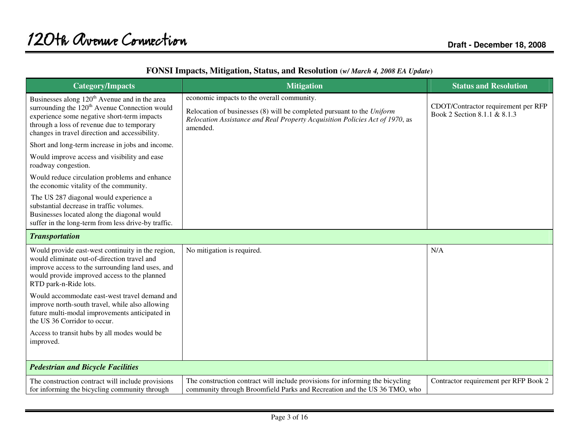| <b>Category/Impacts</b>                                                                                                                                                                                                                                               | <b>Mitigation</b>                                                                                                                                                                                                | <b>Status and Resolution</b>                                        |
|-----------------------------------------------------------------------------------------------------------------------------------------------------------------------------------------------------------------------------------------------------------------------|------------------------------------------------------------------------------------------------------------------------------------------------------------------------------------------------------------------|---------------------------------------------------------------------|
| Businesses along 120 <sup>th</sup> Avenue and in the area<br>surrounding the 120 <sup>th</sup> Avenue Connection would<br>experience some negative short-term impacts<br>through a loss of revenue due to temporary<br>changes in travel direction and accessibility. | economic impacts to the overall community.<br>Relocation of businesses (8) will be completed pursuant to the Uniform<br>Relocation Assistance and Real Property Acquisition Policies Act of 1970, as<br>amended. | CDOT/Contractor requirement per RFP<br>Book 2 Section 8.1.1 & 8.1.3 |
| Short and long-term increase in jobs and income.                                                                                                                                                                                                                      |                                                                                                                                                                                                                  |                                                                     |
| Would improve access and visibility and ease<br>roadway congestion.                                                                                                                                                                                                   |                                                                                                                                                                                                                  |                                                                     |
| Would reduce circulation problems and enhance<br>the economic vitality of the community.                                                                                                                                                                              |                                                                                                                                                                                                                  |                                                                     |
| The US 287 diagonal would experience a<br>substantial decrease in traffic volumes.<br>Businesses located along the diagonal would<br>suffer in the long-term from less drive-by traffic.                                                                              |                                                                                                                                                                                                                  |                                                                     |
| <b>Transportation</b>                                                                                                                                                                                                                                                 |                                                                                                                                                                                                                  |                                                                     |
| Would provide east-west continuity in the region,<br>would eliminate out-of-direction travel and<br>improve access to the surrounding land uses, and<br>would provide improved access to the planned<br>RTD park-n-Ride lots.                                         | No mitigation is required.                                                                                                                                                                                       | N/A                                                                 |
| Would accommodate east-west travel demand and<br>improve north-south travel, while also allowing<br>future multi-modal improvements anticipated in<br>the US 36 Corridor to occur.                                                                                    |                                                                                                                                                                                                                  |                                                                     |
| Access to transit hubs by all modes would be<br>improved.                                                                                                                                                                                                             |                                                                                                                                                                                                                  |                                                                     |
| <b>Pedestrian and Bicycle Facilities</b>                                                                                                                                                                                                                              |                                                                                                                                                                                                                  |                                                                     |
| The construction contract will include provisions<br>for informing the bicycling community through                                                                                                                                                                    | The construction contract will include provisions for informing the bicycling<br>community through Broomfield Parks and Recreation and the US 36 TMO, who                                                        | Contractor requirement per RFP Book 2                               |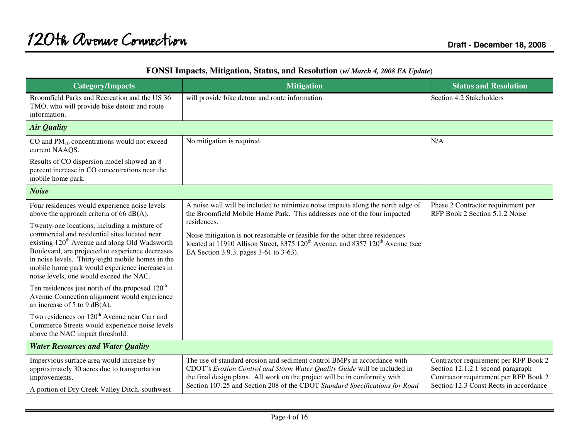| <b>Category/Impacts</b>                                                                                                                                                                                                                                                                                                                                          | <b>Mitigation</b>                                                                                                                                                                                                                                                                                                 | <b>Status and Resolution</b>                                                                                                                                  |
|------------------------------------------------------------------------------------------------------------------------------------------------------------------------------------------------------------------------------------------------------------------------------------------------------------------------------------------------------------------|-------------------------------------------------------------------------------------------------------------------------------------------------------------------------------------------------------------------------------------------------------------------------------------------------------------------|---------------------------------------------------------------------------------------------------------------------------------------------------------------|
| Broomfield Parks and Recreation and the US 36<br>TMO, who will provide bike detour and route<br>information.                                                                                                                                                                                                                                                     | will provide bike detour and route information.                                                                                                                                                                                                                                                                   | Section 4.2 Stakeholders                                                                                                                                      |
| <b>Air Quality</b>                                                                                                                                                                                                                                                                                                                                               |                                                                                                                                                                                                                                                                                                                   |                                                                                                                                                               |
| CO and $PM_{10}$ concentrations would not exceed<br>current NAAQS.                                                                                                                                                                                                                                                                                               | No mitigation is required.                                                                                                                                                                                                                                                                                        | N/A                                                                                                                                                           |
| Results of CO dispersion model showed an 8<br>percent increase in CO concentrations near the<br>mobile home park.                                                                                                                                                                                                                                                |                                                                                                                                                                                                                                                                                                                   |                                                                                                                                                               |
| <b>Noise</b>                                                                                                                                                                                                                                                                                                                                                     |                                                                                                                                                                                                                                                                                                                   |                                                                                                                                                               |
| Four residences would experience noise levels<br>above the approach criteria of 66 $dB(A)$ .                                                                                                                                                                                                                                                                     | A noise wall will be included to minimize noise impacts along the north edge of<br>the Broomfield Mobile Home Park. This addresses one of the four impacted                                                                                                                                                       | Phase 2 Contractor requirement per<br>RFP Book 2 Section 5.1.2 Noise                                                                                          |
| Twenty-one locations, including a mixture of<br>commercial and residential sites located near<br>existing 120 <sup>th</sup> Avenue and along Old Wadsworth<br>Boulevard, are projected to experience decreases<br>in noise levels. Thirty-eight mobile homes in the<br>mobile home park would experience increases in<br>noise levels, one would exceed the NAC. | residences.<br>Noise mitigation is not reasonable or feasible for the other three residences<br>located at 11910 Allison Street, 8375 120 <sup>th</sup> Avenue, and 8357 120 <sup>th</sup> Avenue (see<br>EA Section 3.9.3, pages 3-61 to 3-63).                                                                  |                                                                                                                                                               |
| Ten residences just north of the proposed 120 <sup>th</sup><br>Avenue Connection alignment would experience<br>an increase of 5 to 9 $dB(A)$ .                                                                                                                                                                                                                   |                                                                                                                                                                                                                                                                                                                   |                                                                                                                                                               |
| Two residences on 120 <sup>th</sup> Avenue near Carr and<br>Commerce Streets would experience noise levels<br>above the NAC impact threshold.                                                                                                                                                                                                                    |                                                                                                                                                                                                                                                                                                                   |                                                                                                                                                               |
| <b>Water Resources and Water Quality</b>                                                                                                                                                                                                                                                                                                                         |                                                                                                                                                                                                                                                                                                                   |                                                                                                                                                               |
| Impervious surface area would increase by<br>approximately 30 acres due to transportation<br>improvements.                                                                                                                                                                                                                                                       | The use of standard erosion and sediment control BMPs in accordance with<br>CDOT's Erosion Control and Storm Water Quality Guide will be included in<br>the final design plans. All work on the project will be in conformity with<br>Section 107.25 and Section 208 of the CDOT Standard Specifications for Road | Contractor requirement per RFP Book 2<br>Section 12.1.2.1 second paragraph<br>Contractor requirement per RFP Book 2<br>Section 12.3 Const Reqts in accordance |
| A portion of Dry Creek Valley Ditch, southwest                                                                                                                                                                                                                                                                                                                   |                                                                                                                                                                                                                                                                                                                   |                                                                                                                                                               |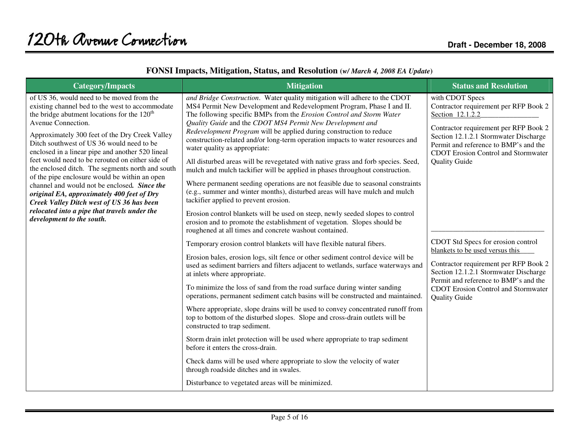| <b>Category/Impacts</b>                                                                                                                                                                                                                                                                                                                                                                                                                                                                                                                                                                                                                                                                                 | <b>Mitigation</b>                                                                                                                                                                                                                                                                                                                                                                                                                                                                                                                                                                                                                                                                                                                                                                                                                                                                                                                                                                                                                                                                                                                                                                                                                                                                                                                                                                                                                                                                                                                                                                                                                                                                                                                                                                                                                                                                                                                                                                                                                              | <b>Status and Resolution</b>                                                                                                                                                                                                                                                                                                                                                                                                                                                                                                                            |
|---------------------------------------------------------------------------------------------------------------------------------------------------------------------------------------------------------------------------------------------------------------------------------------------------------------------------------------------------------------------------------------------------------------------------------------------------------------------------------------------------------------------------------------------------------------------------------------------------------------------------------------------------------------------------------------------------------|------------------------------------------------------------------------------------------------------------------------------------------------------------------------------------------------------------------------------------------------------------------------------------------------------------------------------------------------------------------------------------------------------------------------------------------------------------------------------------------------------------------------------------------------------------------------------------------------------------------------------------------------------------------------------------------------------------------------------------------------------------------------------------------------------------------------------------------------------------------------------------------------------------------------------------------------------------------------------------------------------------------------------------------------------------------------------------------------------------------------------------------------------------------------------------------------------------------------------------------------------------------------------------------------------------------------------------------------------------------------------------------------------------------------------------------------------------------------------------------------------------------------------------------------------------------------------------------------------------------------------------------------------------------------------------------------------------------------------------------------------------------------------------------------------------------------------------------------------------------------------------------------------------------------------------------------------------------------------------------------------------------------------------------------|---------------------------------------------------------------------------------------------------------------------------------------------------------------------------------------------------------------------------------------------------------------------------------------------------------------------------------------------------------------------------------------------------------------------------------------------------------------------------------------------------------------------------------------------------------|
| of US 36, would need to be moved from the<br>existing channel bed to the west to accommodate<br>the bridge abutment locations for the $120th$<br>Avenue Connection.<br>Approximately 300 feet of the Dry Creek Valley<br>Ditch southwest of US 36 would need to be<br>enclosed in a linear pipe and another 520 lineal<br>feet would need to be rerouted on either side of<br>the enclosed ditch. The segments north and south<br>of the pipe enclosure would be within an open<br>channel and would not be enclosed. Since the<br>original EA, approximately 400 feet of Dry<br>Creek Valley Ditch west of US 36 has been<br>relocated into a pipe that travels under the<br>development to the south. | and Bridge Construction. Water quality mitigation will adhere to the CDOT<br>MS4 Permit New Development and Redevelopment Program, Phase I and II.<br>The following specific BMPs from the Erosion Control and Storm Water<br>Quality Guide and the CDOT MS4 Permit New Development and<br>Redevelopment Program will be applied during construction to reduce<br>construction-related and/or long-term operation impacts to water resources and<br>water quality as appropriate:<br>All disturbed areas will be revegetated with native grass and forb species. Seed,<br>mulch and mulch tackifier will be applied in phases throughout construction.<br>Where permanent seeding operations are not feasible due to seasonal constraints<br>(e.g., summer and winter months), disturbed areas will have mulch and mulch<br>tackifier applied to prevent erosion.<br>Erosion control blankets will be used on steep, newly seeded slopes to control<br>erosion and to promote the establishment of vegetation. Slopes should be<br>roughened at all times and concrete washout contained.<br>Temporary erosion control blankets will have flexible natural fibers.<br>Erosion bales, erosion logs, silt fence or other sediment control device will be<br>used as sediment barriers and filters adjacent to wetlands, surface waterways and<br>at inlets where appropriate.<br>To minimize the loss of sand from the road surface during winter sanding<br>operations, permanent sediment catch basins will be constructed and maintained.<br>Where appropriate, slope drains will be used to convey concentrated runoff from<br>top to bottom of the disturbed slopes. Slope and cross-drain outlets will be<br>constructed to trap sediment.<br>Storm drain inlet protection will be used where appropriate to trap sediment<br>before it enters the cross-drain.<br>Check dams will be used where appropriate to slow the velocity of water<br>through roadside ditches and in swales.<br>Disturbance to vegetated areas will be minimized. | with CDOT Specs<br>Contractor requirement per RFP Book 2<br>Section 12.1.2.2<br>Contractor requirement per RFP Book 2<br>Section 12.1.2.1 Stormwater Discharge<br>Permit and reference to BMP's and the<br><b>CDOT</b> Erosion Control and Stormwater<br><b>Quality Guide</b><br>CDOT Std Specs for erosion control<br>blankets to be used versus this<br>Contractor requirement per RFP Book 2<br>Section 12.1.2.1 Stormwater Discharge<br>Permit and reference to BMP's and the<br><b>CDOT</b> Erosion Control and Stormwater<br><b>Quality Guide</b> |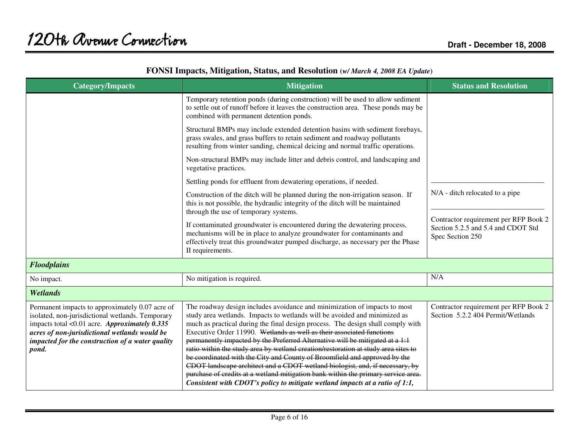| <b>Category/Impacts</b>                                                                                                                                                                                                                                               | <b>Mitigation</b>                                                                                                                                                                                                                                                                                                                                                                                                                                                                                                                                                                                                                                                                                                                                                                                                          | <b>Status and Resolution</b>                                                                    |
|-----------------------------------------------------------------------------------------------------------------------------------------------------------------------------------------------------------------------------------------------------------------------|----------------------------------------------------------------------------------------------------------------------------------------------------------------------------------------------------------------------------------------------------------------------------------------------------------------------------------------------------------------------------------------------------------------------------------------------------------------------------------------------------------------------------------------------------------------------------------------------------------------------------------------------------------------------------------------------------------------------------------------------------------------------------------------------------------------------------|-------------------------------------------------------------------------------------------------|
|                                                                                                                                                                                                                                                                       | Temporary retention ponds (during construction) will be used to allow sediment<br>to settle out of runoff before it leaves the construction area. These ponds may be<br>combined with permanent detention ponds.                                                                                                                                                                                                                                                                                                                                                                                                                                                                                                                                                                                                           |                                                                                                 |
|                                                                                                                                                                                                                                                                       | Structural BMPs may include extended detention basins with sediment forebays,<br>grass swales, and grass buffers to retain sediment and roadway pollutants<br>resulting from winter sanding, chemical deicing and normal traffic operations.                                                                                                                                                                                                                                                                                                                                                                                                                                                                                                                                                                               |                                                                                                 |
|                                                                                                                                                                                                                                                                       | Non-structural BMPs may include litter and debris control, and landscaping and<br>vegetative practices.                                                                                                                                                                                                                                                                                                                                                                                                                                                                                                                                                                                                                                                                                                                    |                                                                                                 |
|                                                                                                                                                                                                                                                                       | Settling ponds for effluent from dewatering operations, if needed.                                                                                                                                                                                                                                                                                                                                                                                                                                                                                                                                                                                                                                                                                                                                                         |                                                                                                 |
|                                                                                                                                                                                                                                                                       | Construction of the ditch will be planned during the non-irrigation season. If<br>this is not possible, the hydraulic integrity of the ditch will be maintained<br>through the use of temporary systems.                                                                                                                                                                                                                                                                                                                                                                                                                                                                                                                                                                                                                   | N/A - ditch relocated to a pipe                                                                 |
|                                                                                                                                                                                                                                                                       | If contaminated groundwater is encountered during the dewatering process,<br>mechanisms will be in place to analyze groundwater for contaminants and<br>effectively treat this groundwater pumped discharge, as necessary per the Phase<br>II requirements.                                                                                                                                                                                                                                                                                                                                                                                                                                                                                                                                                                | Contractor requirement per RFP Book 2<br>Section 5.2.5 and 5.4 and CDOT Std<br>Spec Section 250 |
| <b>Floodplains</b>                                                                                                                                                                                                                                                    |                                                                                                                                                                                                                                                                                                                                                                                                                                                                                                                                                                                                                                                                                                                                                                                                                            |                                                                                                 |
| No impact.                                                                                                                                                                                                                                                            | No mitigation is required.                                                                                                                                                                                                                                                                                                                                                                                                                                                                                                                                                                                                                                                                                                                                                                                                 | N/A                                                                                             |
| <b>Wetlands</b>                                                                                                                                                                                                                                                       |                                                                                                                                                                                                                                                                                                                                                                                                                                                                                                                                                                                                                                                                                                                                                                                                                            |                                                                                                 |
| Permanent impacts to approximately 0.07 acre of<br>isolated, non-jurisdictional wetlands. Temporary<br>impacts total < $0.01$ acre. Approximately 0.335<br>acres of non-jurisdictional wetlands would be<br>impacted for the construction of a water quality<br>pond. | The roadway design includes avoidance and minimization of impacts to most<br>study area wetlands. Impacts to wetlands will be avoided and minimized as<br>much as practical during the final design process. The design shall comply with<br>Executive Order 11990. Wetlands as well as their associated functions<br>permanently impacted by the Preferred Alternative will be mitigated at a 1:1<br>ratio within the study area by wetland creation/restoration at study area sites to<br>be coordinated with the City and County of Broomfield and approved by the<br>CDOT landscape architect and a CDOT wetland biologist, and, if necessary, by<br>purchase of credits at a wetland mitigation bank within the primary service area.<br>Consistent with CDOT's policy to mitigate wetland impacts at a ratio of 1:1, | Contractor requirement per RFP Book 2<br>Section 5.2.2 404 Permit/Wetlands                      |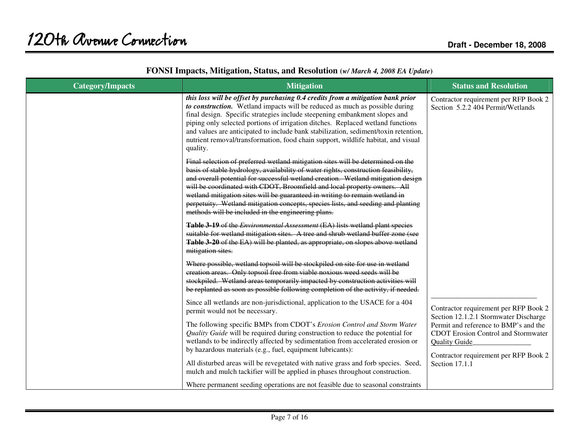| <b>Category/Impacts</b> | <b>Mitigation</b>                                                                                                                                                                                                                                                                                                                                                                                                                                                                                                                                              | <b>Status and Resolution</b>                                                                                                                         |
|-------------------------|----------------------------------------------------------------------------------------------------------------------------------------------------------------------------------------------------------------------------------------------------------------------------------------------------------------------------------------------------------------------------------------------------------------------------------------------------------------------------------------------------------------------------------------------------------------|------------------------------------------------------------------------------------------------------------------------------------------------------|
|                         | this loss will be offset by purchasing 0.4 credits from a mitigation bank prior<br>to construction. Wetland impacts will be reduced as much as possible during<br>final design. Specific strategies include steepening embankment slopes and<br>piping only selected portions of irrigation ditches. Replaced wetland functions<br>and values are anticipated to include bank stabilization, sediment/toxin retention,<br>nutrient removal/transformation, food chain support, wildlife habitat, and visual<br>quality.                                        | Contractor requirement per RFP Book 2<br>Section 5.2.2 404 Permit/Wetlands                                                                           |
|                         | Final selection of preferred wetland mitigation sites will be determined on the<br>basis of stable hydrology, availability of water rights, construction feasibility,<br>and overall potential for successful wetland creation. Wetland mitigation design<br>will be coordinated with CDOT, Broomfield and local property owners. All<br>wetland mitigation sites will be guaranteed in writing to remain wetland in<br>perpetuity. Wetland mitigation concepts, species lists, and seeding and planting<br>methods will be included in the engineering plans. |                                                                                                                                                      |
|                         | Table 3-19 of the Environmental Assessment (EA) lists wetland plant species<br>suitable for wetland mitigation sites. A tree and shrub wetland buffer zone (see<br>Table 3-20 of the EA) will be planted, as appropriate, on slopes above wetland<br>mitigation sites.                                                                                                                                                                                                                                                                                         |                                                                                                                                                      |
|                         | Where possible, wetland topsoil will be stockpiled on site for use in wetland<br>creation areas. Only topsoil free from viable noxious weed seeds will be<br>stockpiled. Wetland areas temporarily impacted by construction activities will<br>be replanted as soon as possible following completion of the activity, if needed.                                                                                                                                                                                                                               |                                                                                                                                                      |
|                         | Since all wetlands are non-jurisdictional, application to the USACE for a 404<br>permit would not be necessary.                                                                                                                                                                                                                                                                                                                                                                                                                                                | Contractor requirement per RFP Book 2<br>Section 12.1.2.1 Stormwater Discharge                                                                       |
|                         | The following specific BMPs from CDOT's Erosion Control and Storm Water<br>Quality Guide will be required during construction to reduce the potential for<br>wetlands to be indirectly affected by sedimentation from accelerated erosion or<br>by hazardous materials (e.g., fuel, equipment lubricants):                                                                                                                                                                                                                                                     | Permit and reference to BMP's and the<br><b>CDOT</b> Erosion Control and Stormwater<br><b>Quality Guide</b><br>Contractor requirement per RFP Book 2 |
|                         | All disturbed areas will be revegetated with native grass and forb species. Seed,<br>mulch and mulch tackifier will be applied in phases throughout construction.                                                                                                                                                                                                                                                                                                                                                                                              | Section 17.1.1                                                                                                                                       |
|                         | Where permanent seeding operations are not feasible due to seasonal constraints                                                                                                                                                                                                                                                                                                                                                                                                                                                                                |                                                                                                                                                      |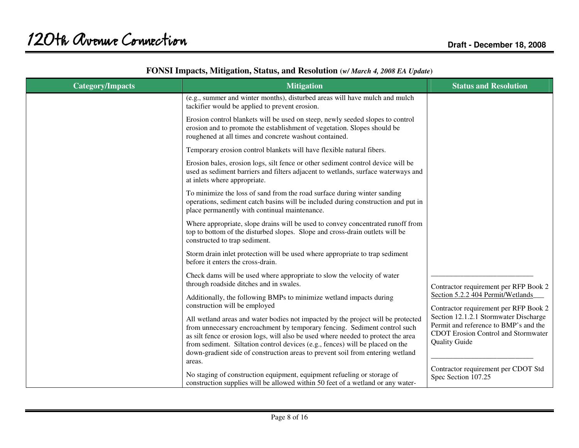| <b>Category/Impacts</b> | <b>Mitigation</b>                                                                                                                                                                                                                                                                                                                                                                                                               | <b>Status and Resolution</b>                                                                                                                         |
|-------------------------|---------------------------------------------------------------------------------------------------------------------------------------------------------------------------------------------------------------------------------------------------------------------------------------------------------------------------------------------------------------------------------------------------------------------------------|------------------------------------------------------------------------------------------------------------------------------------------------------|
|                         | (e.g., summer and winter months), disturbed areas will have mulch and mulch<br>tackifier would be applied to prevent erosion.                                                                                                                                                                                                                                                                                                   |                                                                                                                                                      |
|                         | Erosion control blankets will be used on steep, newly seeded slopes to control<br>erosion and to promote the establishment of vegetation. Slopes should be<br>roughened at all times and concrete washout contained.                                                                                                                                                                                                            |                                                                                                                                                      |
|                         | Temporary erosion control blankets will have flexible natural fibers.                                                                                                                                                                                                                                                                                                                                                           |                                                                                                                                                      |
|                         | Erosion bales, erosion logs, silt fence or other sediment control device will be<br>used as sediment barriers and filters adjacent to wetlands, surface waterways and<br>at inlets where appropriate.                                                                                                                                                                                                                           |                                                                                                                                                      |
|                         | To minimize the loss of sand from the road surface during winter sanding<br>operations, sediment catch basins will be included during construction and put in<br>place permanently with continual maintenance.                                                                                                                                                                                                                  |                                                                                                                                                      |
|                         | Where appropriate, slope drains will be used to convey concentrated runoff from<br>top to bottom of the disturbed slopes. Slope and cross-drain outlets will be<br>constructed to trap sediment.                                                                                                                                                                                                                                |                                                                                                                                                      |
|                         | Storm drain inlet protection will be used where appropriate to trap sediment<br>before it enters the cross-drain.                                                                                                                                                                                                                                                                                                               |                                                                                                                                                      |
|                         | Check dams will be used where appropriate to slow the velocity of water<br>through roadside ditches and in swales.                                                                                                                                                                                                                                                                                                              | Contractor requirement per RFP Book 2                                                                                                                |
|                         | Additionally, the following BMPs to minimize wetland impacts during<br>construction will be employed                                                                                                                                                                                                                                                                                                                            | Section 5.2.2 404 Permit/Wetlands<br>Contractor requirement per RFP Book 2                                                                           |
|                         | All wetland areas and water bodies not impacted by the project will be protected<br>from unnecessary encroachment by temporary fencing. Sediment control such<br>as silt fence or erosion logs, will also be used where needed to protect the area<br>from sediment. Siltation control devices (e.g., fences) will be placed on the<br>down-gradient side of construction areas to prevent soil from entering wetland<br>areas. | Section 12.1.2.1 Stormwater Discharge<br>Permit and reference to BMP's and the<br><b>CDOT</b> Erosion Control and Stormwater<br><b>Quality Guide</b> |
|                         | No staging of construction equipment, equipment refueling or storage of<br>construction supplies will be allowed within 50 feet of a wetland or any water-                                                                                                                                                                                                                                                                      | Contractor requirement per CDOT Std<br>Spec Section 107.25                                                                                           |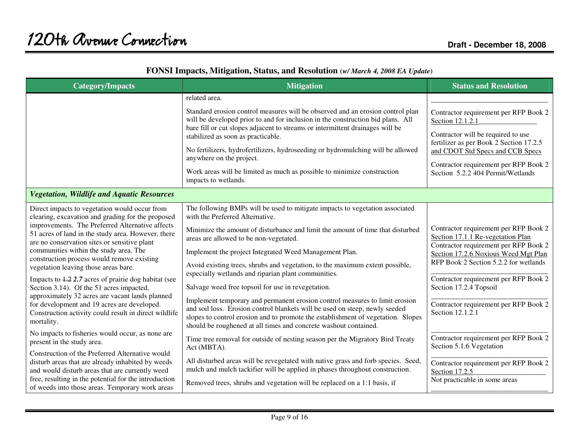| <b>Category/Impacts</b>                                                                                                                                                                         | <b>Mitigation</b>                                                                                                                                                                                                                                                                                                  | <b>Status and Resolution</b>                                                                                                                                |
|-------------------------------------------------------------------------------------------------------------------------------------------------------------------------------------------------|--------------------------------------------------------------------------------------------------------------------------------------------------------------------------------------------------------------------------------------------------------------------------------------------------------------------|-------------------------------------------------------------------------------------------------------------------------------------------------------------|
|                                                                                                                                                                                                 | related area.                                                                                                                                                                                                                                                                                                      |                                                                                                                                                             |
|                                                                                                                                                                                                 | Standard erosion control measures will be observed and an erosion control plan<br>will be developed prior to and for inclusion in the construction bid plans. All<br>bare fill or cut slopes adjacent to streams or intermittent drainages will be<br>stabilized as soon as practicable.                           | Contractor requirement per RFP Book 2<br>Section 12.1.2.1<br>Contractor will be required to use<br>fertilizer as per Book 2 Section 17.2.5                  |
|                                                                                                                                                                                                 | No fertilizers, hydrofertilizers, hydroseeding or hydromulching will be allowed<br>anywhere on the project.                                                                                                                                                                                                        | and CDOT Std Specs and CCB Specs<br>Contractor requirement per RFP Book 2                                                                                   |
|                                                                                                                                                                                                 | Work areas will be limited as much as possible to minimize construction<br>impacts to wetlands.                                                                                                                                                                                                                    | Section 5.2.2 404 Permit/Wetlands                                                                                                                           |
| <b>Vegetation, Wildlife and Aquatic Resources</b>                                                                                                                                               |                                                                                                                                                                                                                                                                                                                    |                                                                                                                                                             |
| Direct impacts to vegetation would occur from<br>clearing, excavation and grading for the proposed                                                                                              | The following BMPs will be used to mitigate impacts to vegetation associated<br>with the Preferred Alternative.                                                                                                                                                                                                    |                                                                                                                                                             |
| improvements. The Preferred Alternative affects<br>51 acres of land in the study area. However, there<br>are no conservation sites or sensitive plant<br>communities within the study area. The | Minimize the amount of disturbance and limit the amount of time that disturbed<br>areas are allowed to be non-vegetated.<br>Implement the project Integrated Weed Management Plan.                                                                                                                                 | Contractor requirement per RFP Book 2<br>Section 17.1.1 Re-vegetation Plan<br>Contractor requirement per RFP Book 2<br>Section 17.2.6 Noxious Weed Mgt Plan |
| construction process would remove existing<br>vegetation leaving those areas bare.                                                                                                              | Avoid existing trees, shrubs and vegetation, to the maximum extent possible,                                                                                                                                                                                                                                       | RFP Book 2 Section 5.2.2 for wetlands                                                                                                                       |
| Impacts to $1.2$ 2.7 acres of prairie dog habitat (see<br>Section 3.14). Of the 51 acres impacted,<br>approximately 32 acres are vacant lands planned                                           | especially wetlands and riparian plant communities.<br>Salvage weed free topsoil for use in revegetation.                                                                                                                                                                                                          | Contractor requirement per RFP Book 2<br>Section 17.2.4 Topsoil                                                                                             |
| for development and 19 acres are developed.<br>Construction activity could result in direct wildlife<br>mortality.                                                                              | Implement temporary and permanent erosion control measures to limit erosion<br>and soil loss. Erosion control blankets will be used on steep, newly seeded<br>slopes to control erosion and to promote the establishment of vegetation. Slopes<br>should be roughened at all times and concrete washout contained. | Contractor requirement per RFP Book 2<br>Section 12.1.2.1                                                                                                   |
| No impacts to fisheries would occur, as none are<br>present in the study area.                                                                                                                  | Time tree removal for outside of nesting season per the Migratory Bird Treaty<br>Act (MBTA).                                                                                                                                                                                                                       | Contractor requirement per RFP Book 2<br>Section 5.1.6 Vegetation                                                                                           |
| Construction of the Preferred Alternative would<br>disturb areas that are already inhabited by weeds<br>and would disturb areas that are currently weed                                         | All disturbed areas will be revegetated with native grass and forb species. Seed,<br>mulch and mulch tackifier will be applied in phases throughout construction.                                                                                                                                                  | Contractor requirement per RFP Book 2<br>Section 17.2.5                                                                                                     |
| free, resulting in the potential for the introduction<br>of weeds into those areas. Temporary work areas                                                                                        | Removed trees, shrubs and vegetation will be replaced on a 1:1 basis, if                                                                                                                                                                                                                                           | Not practicable in some areas                                                                                                                               |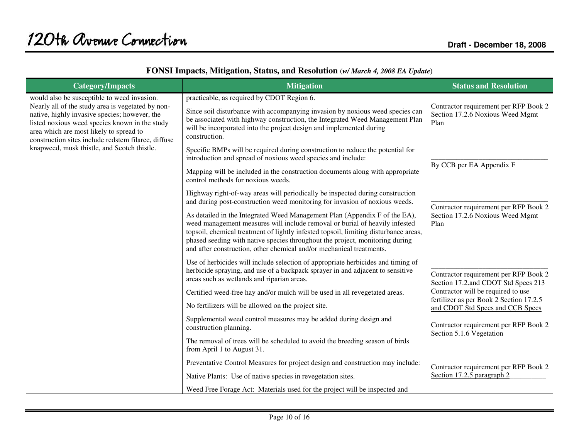| <b>Category/Impacts</b>                                                                                                                                                                                                                                                                               | <b>Mitigation</b>                                                                                                                                                                                                                                                                                                                                                                                                                                                                                                                                                         | <b>Status and Resolution</b>                                                                                                                                                                                                               |
|-------------------------------------------------------------------------------------------------------------------------------------------------------------------------------------------------------------------------------------------------------------------------------------------------------|---------------------------------------------------------------------------------------------------------------------------------------------------------------------------------------------------------------------------------------------------------------------------------------------------------------------------------------------------------------------------------------------------------------------------------------------------------------------------------------------------------------------------------------------------------------------------|--------------------------------------------------------------------------------------------------------------------------------------------------------------------------------------------------------------------------------------------|
| would also be susceptible to weed invasion.<br>Nearly all of the study area is vegetated by non-<br>native, highly invasive species; however, the<br>listed noxious weed species known in the study<br>area which are most likely to spread to<br>construction sites include redstem filaree, diffuse | practicable, as required by CDOT Region 6.<br>Since soil disturbance with accompanying invasion by noxious weed species can<br>be associated with highway construction, the Integrated Weed Management Plan<br>will be incorporated into the project design and implemented during<br>construction.                                                                                                                                                                                                                                                                       | Contractor requirement per RFP Book 2<br>Section 17.2.6 Noxious Weed Mgmt<br>Plan                                                                                                                                                          |
| knapweed, musk thistle, and Scotch thistle.                                                                                                                                                                                                                                                           | Specific BMPs will be required during construction to reduce the potential for<br>introduction and spread of noxious weed species and include:<br>Mapping will be included in the construction documents along with appropriate<br>control methods for noxious weeds.                                                                                                                                                                                                                                                                                                     | By CCB per EA Appendix F                                                                                                                                                                                                                   |
|                                                                                                                                                                                                                                                                                                       | Highway right-of-way areas will periodically be inspected during construction<br>and during post-construction weed monitoring for invasion of noxious weeds.<br>As detailed in the Integrated Weed Management Plan (Appendix F of the EA),<br>weed management measures will include removal or burial of heavily infested<br>topsoil, chemical treatment of lightly infested topsoil, limiting disturbance areas,<br>phased seeding with native species throughout the project, monitoring during<br>and after construction, other chemical and/or mechanical treatments. | Contractor requirement per RFP Book 2<br>Section 17.2.6 Noxious Weed Mgmt<br>Plan                                                                                                                                                          |
|                                                                                                                                                                                                                                                                                                       | Use of herbicides will include selection of appropriate herbicides and timing of<br>herbicide spraying, and use of a backpack sprayer in and adjacent to sensitive<br>areas such as wetlands and riparian areas.<br>Certified weed-free hay and/or mulch will be used in all revegetated areas.<br>No fertilizers will be allowed on the project site.<br>Supplemental weed control measures may be added during design and<br>construction planning.                                                                                                                     | Contractor requirement per RFP Book 2<br>Section 17.2.and CDOT Std Specs 213<br>Contractor will be required to use<br>fertilizer as per Book 2 Section 17.2.5<br>and CDOT Std Specs and CCB Specs<br>Contractor requirement per RFP Book 2 |
|                                                                                                                                                                                                                                                                                                       | The removal of trees will be scheduled to avoid the breeding season of birds<br>from April 1 to August 31.<br>Preventative Control Measures for project design and construction may include:<br>Native Plants: Use of native species in revegetation sites.<br>Weed Free Forage Act: Materials used for the project will be inspected and                                                                                                                                                                                                                                 | Section 5.1.6 Vegetation<br>Contractor requirement per RFP Book 2<br>Section 17.2.5 paragraph 2                                                                                                                                            |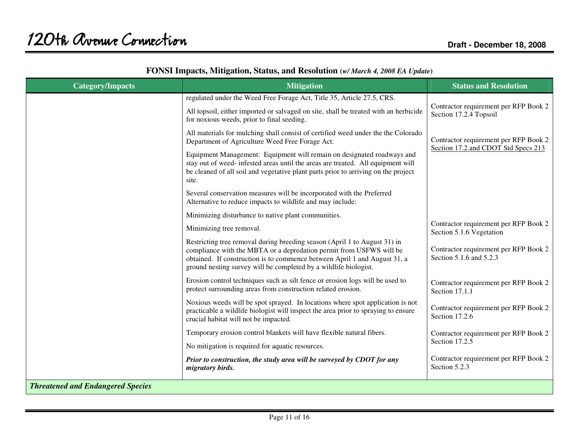| <b>Category/Impacts</b>                  | <b>Mitigation</b>                                                                                                                                                                                                                                                                                 | <b>Status and Resolution</b>                                      |
|------------------------------------------|---------------------------------------------------------------------------------------------------------------------------------------------------------------------------------------------------------------------------------------------------------------------------------------------------|-------------------------------------------------------------------|
|                                          | regulated under the Weed Free Forage Act, Title 35, Article 27.5, CRS.                                                                                                                                                                                                                            |                                                                   |
|                                          | All topsoil, either imported or salvaged on site, shall be treated with an herbicide<br>for noxious weeds, prior to final seeding.                                                                                                                                                                | Contractor requirement per RFP Book 2<br>Section 17.2.4 Topsoil   |
|                                          | All materials for mulching shall consist of certified weed under the the Colorado<br>Department of Agriculture Weed Free Forage Act.                                                                                                                                                              | Contractor requirement per RFP Book 2                             |
|                                          | Equipment Management: Equipment will remain on designated roadways and<br>stay out of weed- infested areas until the areas are treated. All equipment will<br>be cleaned of all soil and vegetative plant parts prior to arriving on the project<br>site.                                         | Section 17.2.and CDOT Std Specs 213                               |
|                                          | Several conservation measures will be incorporated with the Preferred<br>Alternative to reduce impacts to wildlife and may include:                                                                                                                                                               |                                                                   |
|                                          | Minimizing disturbance to native plant communities.                                                                                                                                                                                                                                               |                                                                   |
|                                          | Minimizing tree removal.                                                                                                                                                                                                                                                                          | Contractor requirement per RFP Book 2<br>Section 5.1.6 Vegetation |
|                                          | Restricting tree removal during breeding season (April 1 to August 31) in<br>compliance with the MBTA or a depredation permit from USFWS will be<br>obtained. If construction is to commence between April 1 and August 31, a<br>ground nesting survey will be completed by a wildlife biologist. | Contractor requirement per RFP Book 2<br>Section 5.1.6 and 5.2.3  |
|                                          | Erosion control techniques such as silt fence or erosion logs will be used to<br>protect surrounding areas from construction related erosion.                                                                                                                                                     | Contractor requirement per RFP Book 2<br>Section 17.1.1           |
|                                          | Noxious weeds will be spot sprayed. In locations where spot application is not<br>practicable a wildlife biologist will inspect the area prior to spraying to ensure<br>crucial habitat will not be impacted.                                                                                     | Contractor requirement per RFP Book 2<br>Section 17.2.6           |
|                                          | Temporary erosion control blankets will have flexible natural fibers.                                                                                                                                                                                                                             | Contractor requirement per RFP Book 2                             |
|                                          | No mitigation is required for aquatic resources.                                                                                                                                                                                                                                                  | Section 17.2.5                                                    |
|                                          | Prior to construction, the study area will be surveyed by CDOT for any<br>migratory birds.                                                                                                                                                                                                        | Contractor requirement per RFP Book 2<br>Section 5.2.3            |
| <b>Threatened and Endangered Species</b> |                                                                                                                                                                                                                                                                                                   |                                                                   |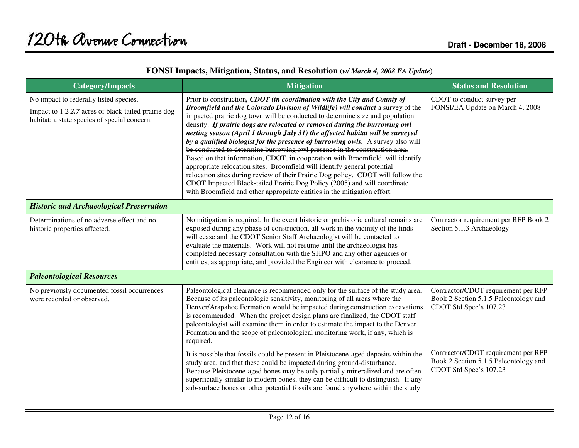| <b>Category/Impacts</b>                                                                                                                       | <b>Mitigation</b>                                                                                                                                                                                                                                                                                                                                                                                                                                                                                                                                                                                                                                                                                                                                                                                                                                                                                                                                                                     | <b>Status and Resolution</b>                                                                           |
|-----------------------------------------------------------------------------------------------------------------------------------------------|---------------------------------------------------------------------------------------------------------------------------------------------------------------------------------------------------------------------------------------------------------------------------------------------------------------------------------------------------------------------------------------------------------------------------------------------------------------------------------------------------------------------------------------------------------------------------------------------------------------------------------------------------------------------------------------------------------------------------------------------------------------------------------------------------------------------------------------------------------------------------------------------------------------------------------------------------------------------------------------|--------------------------------------------------------------------------------------------------------|
| No impact to federally listed species.<br>Impact to 1.2 2.7 acres of black-tailed prairie dog<br>habitat; a state species of special concern. | Prior to construction, CDOT (in coordination with the City and County of<br>Broomfield and the Colorado Division of Wildlife) will conduct a survey of the<br>impacted prairie dog town will be conducted to determine size and population<br>density. If prairie dogs are relocated or removed during the burrowing owl<br>nesting season (April 1 through July 31) the affected habitat will be surveyed<br>by a qualified biologist for the presence of burrowing owls. A survey also will<br>be conducted to determine burrowing owl presence in the construction area.<br>Based on that information, CDOT, in cooperation with Broomfield, will identify<br>appropriate relocation sites. Broomfield will identify general potential<br>relocation sites during review of their Prairie Dog policy. CDOT will follow the<br>CDOT Impacted Black-tailed Prairie Dog Policy (2005) and will coordinate<br>with Broomfield and other appropriate entities in the mitigation effort. | CDOT to conduct survey per<br>FONSI/EA Update on March 4, 2008                                         |
| <b>Historic and Archaeological Preservation</b>                                                                                               |                                                                                                                                                                                                                                                                                                                                                                                                                                                                                                                                                                                                                                                                                                                                                                                                                                                                                                                                                                                       |                                                                                                        |
| Determinations of no adverse effect and no<br>historic properties affected.                                                                   | No mitigation is required. In the event historic or prehistoric cultural remains are<br>exposed during any phase of construction, all work in the vicinity of the finds<br>will cease and the CDOT Senior Staff Archaeologist will be contacted to<br>evaluate the materials. Work will not resume until the archaeologist has<br>completed necessary consultation with the SHPO and any other agencies or<br>entities, as appropriate, and provided the Engineer with clearance to proceed.                                                                                                                                                                                                                                                                                                                                                                                                                                                                                          | Contractor requirement per RFP Book 2<br>Section 5.1.3 Archaeology                                     |
| <b>Paleontological Resources</b>                                                                                                              |                                                                                                                                                                                                                                                                                                                                                                                                                                                                                                                                                                                                                                                                                                                                                                                                                                                                                                                                                                                       |                                                                                                        |
| No previously documented fossil occurrences<br>were recorded or observed.                                                                     | Paleontological clearance is recommended only for the surface of the study area.<br>Because of its paleontologic sensitivity, monitoring of all areas where the<br>Denver/Arapahoe Formation would be impacted during construction excavations<br>is recommended. When the project design plans are finalized, the CDOT staff<br>paleontologist will examine them in order to estimate the impact to the Denver<br>Formation and the scope of paleontological monitoring work, if any, which is<br>required.                                                                                                                                                                                                                                                                                                                                                                                                                                                                          | Contractor/CDOT requirement per RFP<br>Book 2 Section 5.1.5 Paleontology and<br>CDOT Std Spec's 107.23 |
|                                                                                                                                               | It is possible that fossils could be present in Pleistocene-aged deposits within the<br>study area, and that these could be impacted during ground-disturbance.<br>Because Pleistocene-aged bones may be only partially mineralized and are often<br>superficially similar to modern bones, they can be difficult to distinguish. If any<br>sub-surface bones or other potential fossils are found anywhere within the study                                                                                                                                                                                                                                                                                                                                                                                                                                                                                                                                                          | Contractor/CDOT requirement per RFP<br>Book 2 Section 5.1.5 Paleontology and<br>CDOT Std Spec's 107.23 |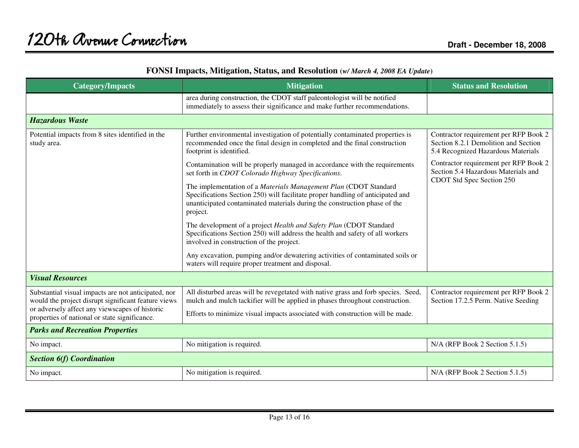| <b>Category/Impacts</b>                                                                                                                                                                                       | <b>Mitigation</b>                                                                                                                                                                                                                           | <b>Status and Resolution</b>                                                                                        |
|---------------------------------------------------------------------------------------------------------------------------------------------------------------------------------------------------------------|---------------------------------------------------------------------------------------------------------------------------------------------------------------------------------------------------------------------------------------------|---------------------------------------------------------------------------------------------------------------------|
|                                                                                                                                                                                                               | area during construction, the CDOT staff paleontologist will be notified<br>immediately to assess their significance and make further recommendations.                                                                                      |                                                                                                                     |
| <b>Hazardous Waste</b>                                                                                                                                                                                        |                                                                                                                                                                                                                                             |                                                                                                                     |
| Potential impacts from 8 sites identified in the<br>study area.                                                                                                                                               | Further environmental investigation of potentially contaminated properties is<br>recommended once the final design in completed and the final construction<br>footprint is identified.                                                      | Contractor requirement per RFP Book 2<br>Section 8.2.1 Demolition and Section<br>5.4 Recognized Hazardous Materials |
|                                                                                                                                                                                                               | Contamination will be properly managed in accordance with the requirements<br>set forth in CDOT Colorado Highway Specifications.                                                                                                            | Contractor requirement per RFP Book 2<br>Section 5.4 Hazardous Materials and<br>CDOT Std Spec Section 250           |
|                                                                                                                                                                                                               | The implementation of a Materials Management Plan (CDOT Standard<br>Specifications Section 250) will facilitate proper handling of anticipated and<br>unanticipated contaminated materials during the construction phase of the<br>project. |                                                                                                                     |
|                                                                                                                                                                                                               | The development of a project Health and Safety Plan (CDOT Standard<br>Specifications Section 250) will address the health and safety of all workers<br>involved in construction of the project.                                             |                                                                                                                     |
|                                                                                                                                                                                                               | Any excavation, pumping and/or dewatering activities of contaminated soils or<br>waters will require proper treatment and disposal.                                                                                                         |                                                                                                                     |
| <b>Visual Resources</b>                                                                                                                                                                                       |                                                                                                                                                                                                                                             |                                                                                                                     |
| Substantial visual impacts are not anticipated, nor<br>would the project disrupt significant feature views<br>or adversely affect any viewscapes of historic<br>properties of national or state significance. | All disturbed areas will be revegetated with native grass and forb species. Seed,<br>mulch and mulch tackifier will be applied in phases throughout construction.                                                                           | Contractor requirement per RFP Book 2<br>Section 17.2.5 Perm. Native Seeding                                        |
|                                                                                                                                                                                                               | Efforts to minimize visual impacts associated with construction will be made.                                                                                                                                                               |                                                                                                                     |
| <b>Parks and Recreation Properties</b>                                                                                                                                                                        |                                                                                                                                                                                                                                             |                                                                                                                     |
| No impact.                                                                                                                                                                                                    | No mitigation is required.                                                                                                                                                                                                                  | N/A (RFP Book 2 Section 5.1.5)                                                                                      |
| <b>Section 6(f) Coordination</b>                                                                                                                                                                              |                                                                                                                                                                                                                                             |                                                                                                                     |
| No impact.                                                                                                                                                                                                    | No mitigation is required.                                                                                                                                                                                                                  | N/A (RFP Book 2 Section 5.1.5)                                                                                      |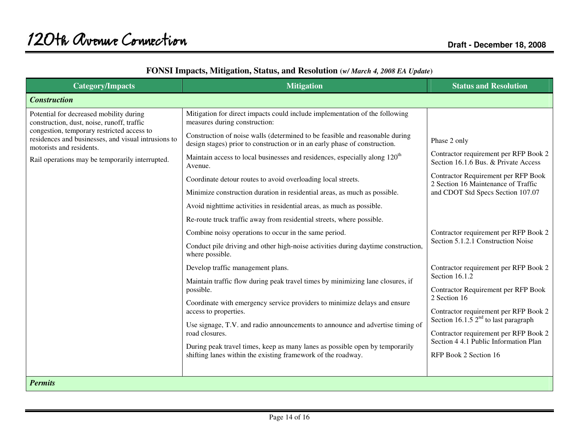| <b>Category/Impacts</b>                                                                                                                                                                                                                                                   | <b>Mitigation</b>                                                                                                                                                                                                                                                                                                                                                                                                                                                                                                                                                                                                                                                                                                                                                                                                                                                                                                                                                                                                                                                                                                                                                                                                                                                                                                                            | <b>Status and Resolution</b>                                                                                                                                                                                                                                                                                                                                                                                                                                                                                                                                                                                           |
|---------------------------------------------------------------------------------------------------------------------------------------------------------------------------------------------------------------------------------------------------------------------------|----------------------------------------------------------------------------------------------------------------------------------------------------------------------------------------------------------------------------------------------------------------------------------------------------------------------------------------------------------------------------------------------------------------------------------------------------------------------------------------------------------------------------------------------------------------------------------------------------------------------------------------------------------------------------------------------------------------------------------------------------------------------------------------------------------------------------------------------------------------------------------------------------------------------------------------------------------------------------------------------------------------------------------------------------------------------------------------------------------------------------------------------------------------------------------------------------------------------------------------------------------------------------------------------------------------------------------------------|------------------------------------------------------------------------------------------------------------------------------------------------------------------------------------------------------------------------------------------------------------------------------------------------------------------------------------------------------------------------------------------------------------------------------------------------------------------------------------------------------------------------------------------------------------------------------------------------------------------------|
| <b>Construction</b>                                                                                                                                                                                                                                                       |                                                                                                                                                                                                                                                                                                                                                                                                                                                                                                                                                                                                                                                                                                                                                                                                                                                                                                                                                                                                                                                                                                                                                                                                                                                                                                                                              |                                                                                                                                                                                                                                                                                                                                                                                                                                                                                                                                                                                                                        |
| Potential for decreased mobility during<br>construction, dust, noise, runoff, traffic<br>congestion, temporary restricted access to<br>residences and businesses, and visual intrusions to<br>motorists and residents.<br>Rail operations may be temporarily interrupted. | Mitigation for direct impacts could include implementation of the following<br>measures during construction:<br>Construction of noise walls (determined to be feasible and reasonable during<br>design stages) prior to construction or in an early phase of construction.<br>Maintain access to local businesses and residences, especially along 120 <sup>th</sup><br>Avenue.<br>Coordinate detour routes to avoid overloading local streets.<br>Minimize construction duration in residential areas, as much as possible.<br>Avoid nighttime activities in residential areas, as much as possible.<br>Re-route truck traffic away from residential streets, where possible.<br>Combine noisy operations to occur in the same period.<br>Conduct pile driving and other high-noise activities during daytime construction,<br>where possible.<br>Develop traffic management plans.<br>Maintain traffic flow during peak travel times by minimizing lane closures, if<br>possible.<br>Coordinate with emergency service providers to minimize delays and ensure<br>access to properties.<br>Use signage, T.V. and radio announcements to announce and advertise timing of<br>road closures.<br>During peak travel times, keep as many lanes as possible open by temporarily<br>shifting lanes within the existing framework of the roadway. | Phase 2 only<br>Contractor requirement per RFP Book 2<br>Section 16.1.6 Bus. & Private Access<br>Contractor Requirement per RFP Book<br>2 Section 16 Maintenance of Traffic<br>and CDOT Std Specs Section 107.07<br>Contractor requirement per RFP Book 2<br>Section 5.1.2.1 Construction Noise<br>Contractor requirement per RFP Book 2<br>Section 16.1.2<br><b>Contractor Requirement per RFP Book</b><br>2 Section 16<br>Contractor requirement per RFP Book 2<br>Section 16.1.5 $2nd$ to last paragraph<br>Contractor requirement per RFP Book 2<br>Section 4 4.1 Public Information Plan<br>RFP Book 2 Section 16 |
| <b>Permits</b>                                                                                                                                                                                                                                                            |                                                                                                                                                                                                                                                                                                                                                                                                                                                                                                                                                                                                                                                                                                                                                                                                                                                                                                                                                                                                                                                                                                                                                                                                                                                                                                                                              |                                                                                                                                                                                                                                                                                                                                                                                                                                                                                                                                                                                                                        |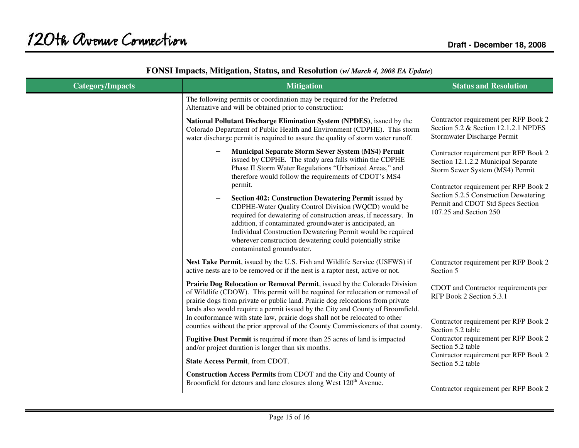| <b>Category/Impacts</b> | <b>Mitigation</b>                                                                                                                                                                                                                                                                                                                                                                                                                                                                                                                                                                                                                                    | <b>Status and Resolution</b>                                                                                                                                                                                                                                     |
|-------------------------|------------------------------------------------------------------------------------------------------------------------------------------------------------------------------------------------------------------------------------------------------------------------------------------------------------------------------------------------------------------------------------------------------------------------------------------------------------------------------------------------------------------------------------------------------------------------------------------------------------------------------------------------------|------------------------------------------------------------------------------------------------------------------------------------------------------------------------------------------------------------------------------------------------------------------|
|                         | The following permits or coordination may be required for the Preferred<br>Alternative and will be obtained prior to construction:                                                                                                                                                                                                                                                                                                                                                                                                                                                                                                                   |                                                                                                                                                                                                                                                                  |
|                         | National Pollutant Discharge Elimination System (NPDES), issued by the<br>Colorado Department of Public Health and Environment (CDPHE). This storm<br>water discharge permit is required to assure the quality of storm water runoff.                                                                                                                                                                                                                                                                                                                                                                                                                | Contractor requirement per RFP Book 2<br>Section 5.2 & Section 12.1.2.1 NPDES<br>Stormwater Discharge Permit                                                                                                                                                     |
|                         | Municipal Separate Storm Sewer System (MS4) Permit<br>issued by CDPHE. The study area falls within the CDPHE<br>Phase II Storm Water Regulations "Urbanized Areas," and<br>therefore would follow the requirements of CDOT's MS4<br>permit.<br>Section 402: Construction Dewatering Permit issued by<br>CDPHE-Water Quality Control Division (WQCD) would be<br>required for dewatering of construction areas, if necessary. In<br>addition, if contaminated groundwater is anticipated, an<br>Individual Construction Dewatering Permit would be required<br>wherever construction dewatering could potentially strike<br>contaminated groundwater. | Contractor requirement per RFP Book 2<br>Section 12.1.2.2 Municipal Separate<br>Storm Sewer System (MS4) Permit<br>Contractor requirement per RFP Book 2<br>Section 5.2.5 Construction Dewatering<br>Permit and CDOT Std Specs Section<br>107.25 and Section 250 |
|                         | Nest Take Permit, issued by the U.S. Fish and Wildlife Service (USFWS) if<br>active nests are to be removed or if the nest is a raptor nest, active or not.                                                                                                                                                                                                                                                                                                                                                                                                                                                                                          | Contractor requirement per RFP Book 2<br>Section 5                                                                                                                                                                                                               |
|                         | Prairie Dog Relocation or Removal Permit, issued by the Colorado Division<br>of Wildlife (CDOW). This permit will be required for relocation or removal of<br>prairie dogs from private or public land. Prairie dog relocations from private<br>lands also would require a permit issued by the City and County of Broomfield.<br>In conformance with state law, prairie dogs shall not be relocated to other                                                                                                                                                                                                                                        | CDOT and Contractor requirements per<br>RFP Book 2 Section 5.3.1                                                                                                                                                                                                 |
|                         | counties without the prior approval of the County Commissioners of that county.                                                                                                                                                                                                                                                                                                                                                                                                                                                                                                                                                                      | Contractor requirement per RFP Book 2<br>Section 5.2 table<br>Contractor requirement per RFP Book 2                                                                                                                                                              |
|                         | Fugitive Dust Permit is required if more than 25 acres of land is impacted<br>and/or project duration is longer than six months.                                                                                                                                                                                                                                                                                                                                                                                                                                                                                                                     | Section 5.2 table<br>Contractor requirement per RFP Book 2                                                                                                                                                                                                       |
|                         | State Access Permit, from CDOT.                                                                                                                                                                                                                                                                                                                                                                                                                                                                                                                                                                                                                      | Section 5.2 table                                                                                                                                                                                                                                                |
|                         | Construction Access Permits from CDOT and the City and County of<br>Broomfield for detours and lane closures along West 120 <sup>th</sup> Avenue.                                                                                                                                                                                                                                                                                                                                                                                                                                                                                                    | Contractor requirement per RFP Book 2                                                                                                                                                                                                                            |